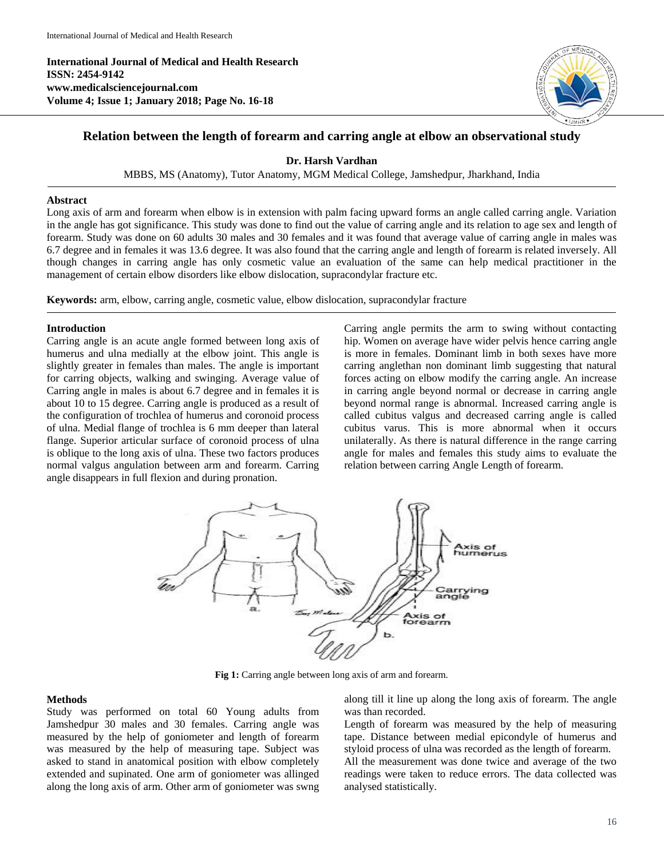**International Journal of Medical and Health Research ISSN: 2454-9142 www.medicalsciencejournal.com Volume 4; Issue 1; January 2018; Page No. 16-18**



# **Relation between the length of forearm and carring angle at elbow an observational study**

**Dr. Harsh Vardhan**

MBBS, MS (Anatomy), Tutor Anatomy, MGM Medical College, Jamshedpur, Jharkhand, India

### **Abstract**

Long axis of arm and forearm when elbow is in extension with palm facing upward forms an angle called carring angle. Variation in the angle has got significance. This study was done to find out the value of carring angle and its relation to age sex and length of forearm. Study was done on 60 adults 30 males and 30 females and it was found that average value of carring angle in males was 6.7 degree and in females it was 13.6 degree. It was also found that the carring angle and length of forearm is related inversely. All though changes in carring angle has only cosmetic value an evaluation of the same can help medical practitioner in the management of certain elbow disorders like elbow dislocation, supracondylar fracture etc.

**Keywords:** arm, elbow, carring angle, cosmetic value, elbow dislocation, supracondylar fracture

## **Introduction**

Carring angle is an acute angle formed between long axis of humerus and ulna medially at the elbow joint. This angle is slightly greater in females than males. The angle is important for carring objects, walking and swinging. Average value of Carring angle in males is about 6.7 degree and in females it is about 10 to 15 degree. Carring angle is produced as a result of the configuration of trochlea of humerus and coronoid process of ulna. Medial flange of trochlea is 6 mm deeper than lateral flange. Superior articular surface of coronoid process of ulna is oblique to the long axis of ulna. These two factors produces normal valgus angulation between arm and forearm. Carring angle disappears in full flexion and during pronation.

Carring angle permits the arm to swing without contacting hip. Women on average have wider pelvis hence carring angle is more in females. Dominant limb in both sexes have more carring anglethan non dominant limb suggesting that natural forces acting on elbow modify the carring angle. An increase in carring angle beyond normal or decrease in carring angle beyond normal range is abnormal. Increased carring angle is called cubitus valgus and decreased carring angle is called cubitus varus. This is more abnormal when it occurs unilaterally. As there is natural difference in the range carring angle for males and females this study aims to evaluate the relation between carring Angle Length of forearm.



**Fig 1:** Carring angle between long axis of arm and forearm.

## **Methods**

Study was performed on total 60 Young adults from Jamshedpur 30 males and 30 females. Carring angle was measured by the help of goniometer and length of forearm was measured by the help of measuring tape. Subject was asked to stand in anatomical position with elbow completely extended and supinated. One arm of goniometer was allinged along the long axis of arm. Other arm of goniometer was swng along till it line up along the long axis of forearm. The angle was than recorded.

Length of forearm was measured by the help of measuring tape. Distance between medial epicondyle of humerus and styloid process of ulna was recorded as the length of forearm. All the measurement was done twice and average of the two readings were taken to reduce errors. The data collected was analysed statistically.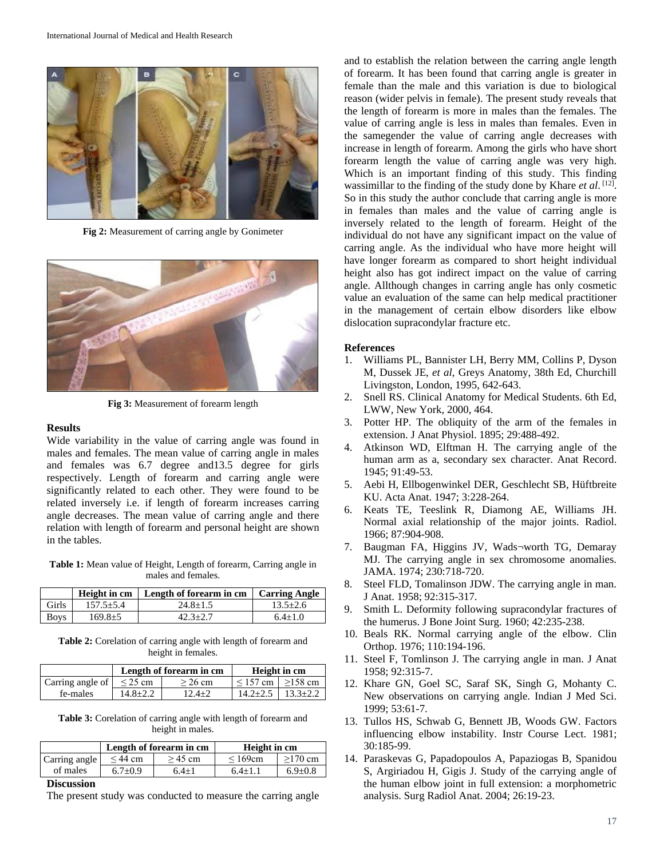

**Fig 2:** Measurement of carring angle by Gonimeter



**Fig 3:** Measurement of forearm length

#### **Results**

Wide variability in the value of carring angle was found in males and females. The mean value of carring angle in males and females was 6.7 degree and13.5 degree for girls respectively. Length of forearm and carring angle were significantly related to each other. They were found to be related inversely i.e. if length of forearm increases carring angle decreases. The mean value of carring angle and there relation with length of forearm and personal height are shown in the tables.

**Table 1:** Mean value of Height, Length of forearm, Carring angle in males and females.

|             |               | Height in cm   Length of forearm in cm   Carring Angle |              |
|-------------|---------------|--------------------------------------------------------|--------------|
| Girls       | $157.5 + 5.4$ | $24.8 + 1.5$                                           | $13.5 + 2.6$ |
| <b>Boys</b> | $169.8 \pm 5$ | $42.3 + 2.7$                                           | $6.4 + 1.0$  |

**Table 2:** Corelation of carring angle with length of forearm and height in females.

|                  |              | Length of forearm in cm | Height in cm          |              |
|------------------|--------------|-------------------------|-----------------------|--------------|
| Carring angle of | $\leq$ 25 cm | $>$ 26 cm               | $157$ cm $1 > 158$ cm |              |
| fe-males         | $14.8 + 2.2$ | $12.4+2$                | $14.2 \pm 2.5$        | $13.3 + 2.2$ |

**Table 3:** Corelation of carring angle with length of forearm and height in males.

|                   |           | Length of forearm in cm | Height in cm  |               |  |
|-------------------|-----------|-------------------------|---------------|---------------|--|
| Carring angle     | $<$ 44 cm | $>45$ cm                | $\leq 169$ cm | $>170$ cm     |  |
| of males          | $6.7+0.9$ | $6.4+1$                 | $6.4 + 1.1$   | $6.9 \pm 0.8$ |  |
| <b>Discussion</b> |           |                         |               |               |  |

The present study was conducted to measure the carring angle

and to establish the relation between the carring angle length of forearm. It has been found that carring angle is greater in female than the male and this variation is due to biological reason (wider pelvis in female). The present study reveals that the length of forearm is more in males than the females. The value of carring angle is less in males than females. Even in the samegender the value of carring angle decreases with increase in length of forearm. Among the girls who have short forearm length the value of carring angle was very high. Which is an important finding of this study. This finding wassimillar to the finding of the study done by Khare *et al*.<sup>[12]</sup>. So in this study the author conclude that carring angle is more in females than males and the value of carring angle is inversely related to the length of forearm. Height of the individual do not have any significant impact on the value of carring angle. As the individual who have more height will have longer forearm as compared to short height individual height also has got indirect impact on the value of carring angle. Allthough changes in carring angle has only cosmetic value an evaluation of the same can help medical practitioner in the management of certain elbow disorders like elbow dislocation supracondylar fracture etc.

#### **References**

- 1. Williams PL, Bannister LH, Berry MM, Collins P, Dyson M, Dussek JE, *et al*, Greys Anatomy, 38th Ed, Churchill Livingston, London, 1995, 642-643.
- 2. Snell RS. Clinical Anatomy for Medical Students. 6th Ed, LWW, New York, 2000, 464.
- 3. Potter HP. The obliquity of the arm of the females in extension. J Anat Physiol. 1895; 29:488-492.
- 4. Atkinson WD, Elftman H. The carrying angle of the human arm as a, secondary sex character. Anat Record. 1945; 91:49-53.
- 5. Aebi H, Ellbogenwinkel DER, Geschlecht SB, Hüftbreite KU. Acta Anat. 1947; 3:228-264.
- 6. Keats TE, Teeslink R, Diamong AE, Williams JH. Normal axial relationship of the major joints. Radiol. 1966; 87:904-908.
- 7. Baugman FA, Higgins JV, Wads¬worth TG, Demaray MJ. The carrying angle in sex chromosome anomalies. JAMA. 1974; 230:718-720.
- 8. Steel FLD, Tomalinson JDW. The carrying angle in man. J Anat. 1958; 92:315-317.
- 9. Smith L. Deformity following supracondylar fractures of the humerus. J Bone Joint Surg. 1960; 42:235-238.
- 10. Beals RK. Normal carrying angle of the elbow. Clin Orthop. 1976; 110:194-196.
- 11. Steel F, Tomlinson J. The carrying angle in man. J Anat 1958; 92:315-7.
- 12. Khare GN, Goel SC, Saraf SK, Singh G, Mohanty C. New observations on carrying angle. Indian J Med Sci. 1999; 53:61-7.
- 13. Tullos HS, Schwab G, Bennett JB, Woods GW. Factors influencing elbow instability. Instr Course Lect. 1981; 30:185-99.
- 14. Paraskevas G, Papadopoulos A, Papaziogas B, Spanidou S, Argiriadou H, Gigis J. Study of the carrying angle of the human elbow joint in full extension: a morphometric analysis. Surg Radiol Anat. 2004; 26:19-23.